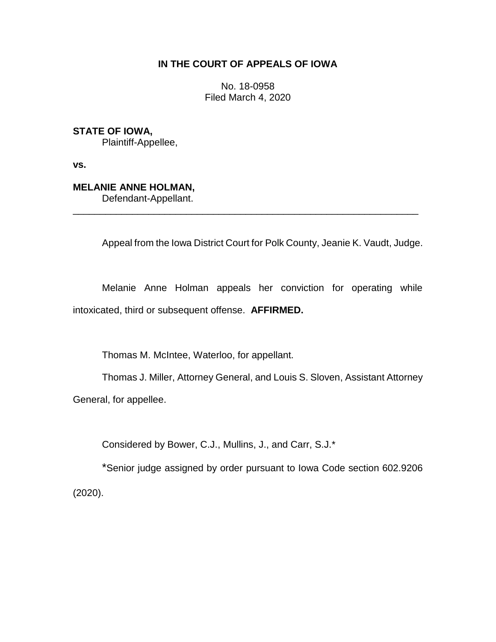## **IN THE COURT OF APPEALS OF IOWA**

No. 18-0958 Filed March 4, 2020

**STATE OF IOWA,**

Plaintiff-Appellee,

**vs.**

**MELANIE ANNE HOLMAN,**

Defendant-Appellant.

Appeal from the Iowa District Court for Polk County, Jeanie K. Vaudt, Judge.

Melanie Anne Holman appeals her conviction for operating while intoxicated, third or subsequent offense. **AFFIRMED.**

\_\_\_\_\_\_\_\_\_\_\_\_\_\_\_\_\_\_\_\_\_\_\_\_\_\_\_\_\_\_\_\_\_\_\_\_\_\_\_\_\_\_\_\_\_\_\_\_\_\_\_\_\_\_\_\_\_\_\_\_\_\_\_\_

Thomas M. McIntee, Waterloo, for appellant.

Thomas J. Miller, Attorney General, and Louis S. Sloven, Assistant Attorney General, for appellee.

Considered by Bower, C.J., Mullins, J., and Carr, S.J.\*

\*Senior judge assigned by order pursuant to Iowa Code section 602.9206 (2020).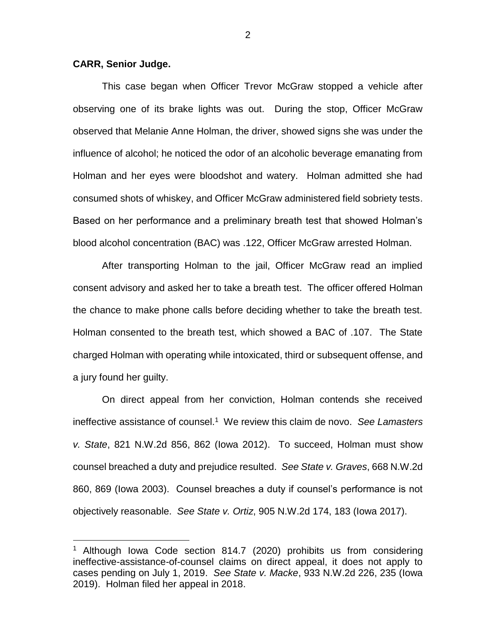## **CARR, Senior Judge.**

 $\overline{a}$ 

This case began when Officer Trevor McGraw stopped a vehicle after observing one of its brake lights was out. During the stop, Officer McGraw observed that Melanie Anne Holman, the driver, showed signs she was under the influence of alcohol; he noticed the odor of an alcoholic beverage emanating from Holman and her eyes were bloodshot and watery. Holman admitted she had consumed shots of whiskey, and Officer McGraw administered field sobriety tests. Based on her performance and a preliminary breath test that showed Holman's blood alcohol concentration (BAC) was .122, Officer McGraw arrested Holman.

After transporting Holman to the jail, Officer McGraw read an implied consent advisory and asked her to take a breath test. The officer offered Holman the chance to make phone calls before deciding whether to take the breath test. Holman consented to the breath test, which showed a BAC of .107. The State charged Holman with operating while intoxicated, third or subsequent offense, and a jury found her guilty.

On direct appeal from her conviction, Holman contends she received ineffective assistance of counsel.<sup>1</sup> We review this claim de novo. *See Lamasters v. State*, 821 N.W.2d 856, 862 (Iowa 2012). To succeed, Holman must show counsel breached a duty and prejudice resulted. *See State v. Graves*, 668 N.W.2d 860, 869 (Iowa 2003). Counsel breaches a duty if counsel's performance is not objectively reasonable. *See State v. Ortiz*, 905 N.W.2d 174, 183 (Iowa 2017).

<sup>&</sup>lt;sup>1</sup> Although Iowa Code section 814.7 (2020) prohibits us from considering ineffective-assistance-of-counsel claims on direct appeal, it does not apply to cases pending on July 1, 2019. *See State v. Macke*, 933 N.W.2d 226, 235 (Iowa 2019). Holman filed her appeal in 2018.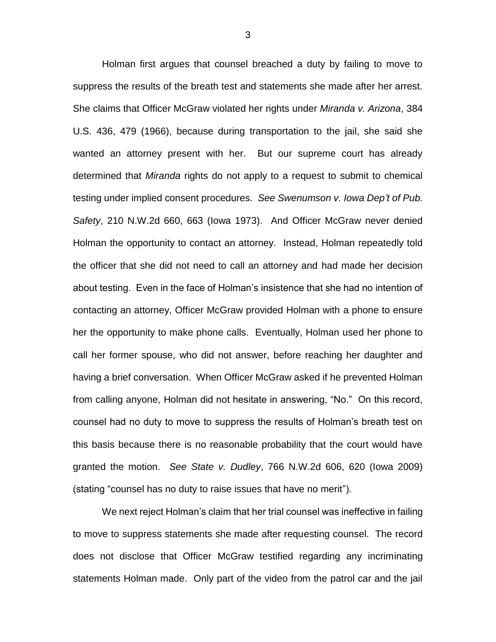Holman first argues that counsel breached a duty by failing to move to suppress the results of the breath test and statements she made after her arrest. She claims that Officer McGraw violated her rights under *Miranda v. Arizona*, 384 U.S. 436, 479 (1966), because during transportation to the jail, she said she wanted an attorney present with her. But our supreme court has already determined that *Miranda* rights do not apply to a request to submit to chemical testing under implied consent procedures. *See Swenumson v. Iowa Dep't of Pub. Safety*, 210 N.W.2d 660, 663 (Iowa 1973). And Officer McGraw never denied Holman the opportunity to contact an attorney. Instead, Holman repeatedly told the officer that she did not need to call an attorney and had made her decision about testing. Even in the face of Holman's insistence that she had no intention of contacting an attorney, Officer McGraw provided Holman with a phone to ensure her the opportunity to make phone calls. Eventually, Holman used her phone to call her former spouse, who did not answer, before reaching her daughter and having a brief conversation. When Officer McGraw asked if he prevented Holman from calling anyone, Holman did not hesitate in answering, "No." On this record, counsel had no duty to move to suppress the results of Holman's breath test on this basis because there is no reasonable probability that the court would have granted the motion. *See State v. Dudley*, 766 N.W.2d 606, 620 (Iowa 2009) (stating "counsel has no duty to raise issues that have no merit").

We next reject Holman's claim that her trial counsel was ineffective in failing to move to suppress statements she made after requesting counsel. The record does not disclose that Officer McGraw testified regarding any incriminating statements Holman made. Only part of the video from the patrol car and the jail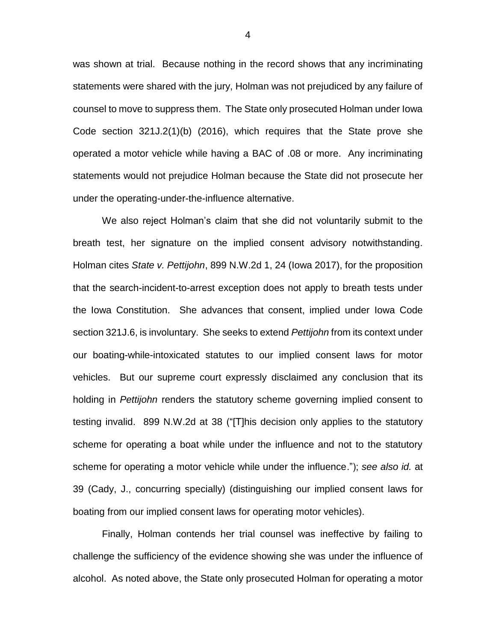was shown at trial. Because nothing in the record shows that any incriminating statements were shared with the jury, Holman was not prejudiced by any failure of counsel to move to suppress them. The State only prosecuted Holman under Iowa Code section 321J.2(1)(b) (2016), which requires that the State prove she operated a motor vehicle while having a BAC of .08 or more. Any incriminating statements would not prejudice Holman because the State did not prosecute her under the operating-under-the-influence alternative.

We also reject Holman's claim that she did not voluntarily submit to the breath test, her signature on the implied consent advisory notwithstanding. Holman cites *State v. Pettijohn*, 899 N.W.2d 1, 24 (Iowa 2017), for the proposition that the search-incident-to-arrest exception does not apply to breath tests under the Iowa Constitution. She advances that consent, implied under Iowa Code section 321J.6, is involuntary. She seeks to extend *Pettijohn* from its context under our boating-while-intoxicated statutes to our implied consent laws for motor vehicles. But our supreme court expressly disclaimed any conclusion that its holding in *Pettijohn* renders the statutory scheme governing implied consent to testing invalid. 899 N.W.2d at 38 ("[T]his decision only applies to the statutory scheme for operating a boat while under the influence and not to the statutory scheme for operating a motor vehicle while under the influence."); *see also id.* at 39 (Cady, J., concurring specially) (distinguishing our implied consent laws for boating from our implied consent laws for operating motor vehicles).

Finally, Holman contends her trial counsel was ineffective by failing to challenge the sufficiency of the evidence showing she was under the influence of alcohol. As noted above, the State only prosecuted Holman for operating a motor

4